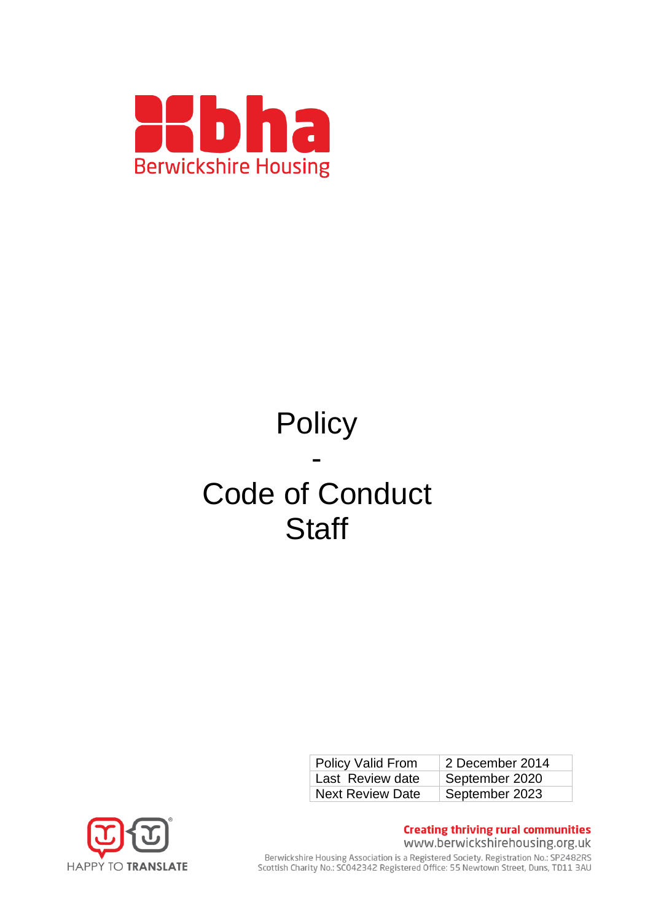

# **Policy** - Code of Conduct **Staff**

| <b>Policy Valid From</b> | 2 December 2014 |
|--------------------------|-----------------|
| Last Review date         | September 2020  |
| <b>Next Review Date</b>  | September 2023  |



**Creating thriving rural communities** www.berwickshirehousing.org.uk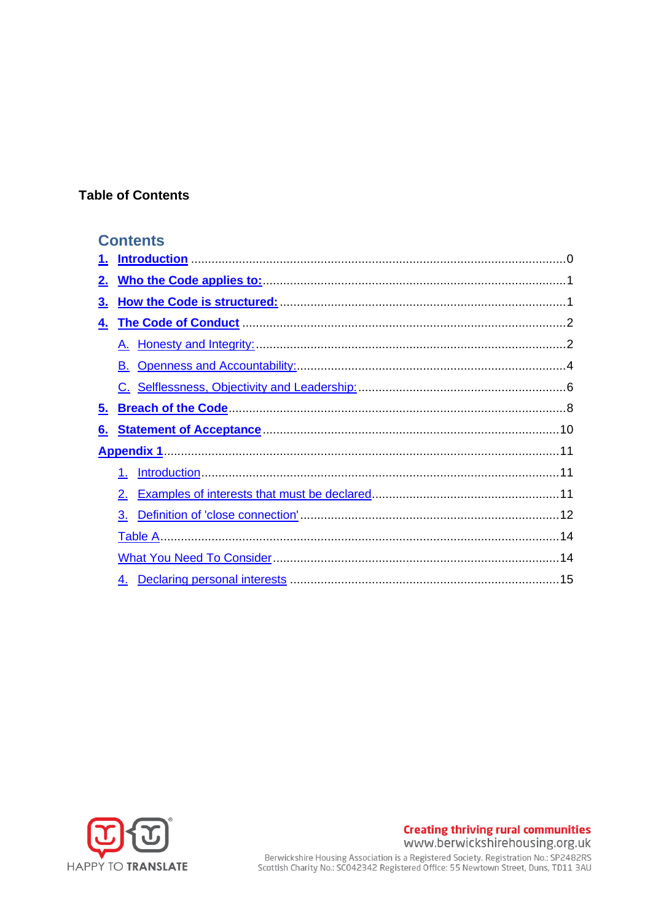## **Table of Contents**

## **Contents**

| 1.        |    |  |
|-----------|----|--|
| 2.        |    |  |
| <u>3.</u> |    |  |
| 4.        |    |  |
|           |    |  |
|           |    |  |
|           |    |  |
| 5.        |    |  |
| 6.        |    |  |
|           |    |  |
|           | 1. |  |
|           | 2. |  |
|           | 3. |  |
|           |    |  |
|           |    |  |
|           |    |  |
|           |    |  |



**Creating thriving rural communities** www.berwickshirehousing.org.uk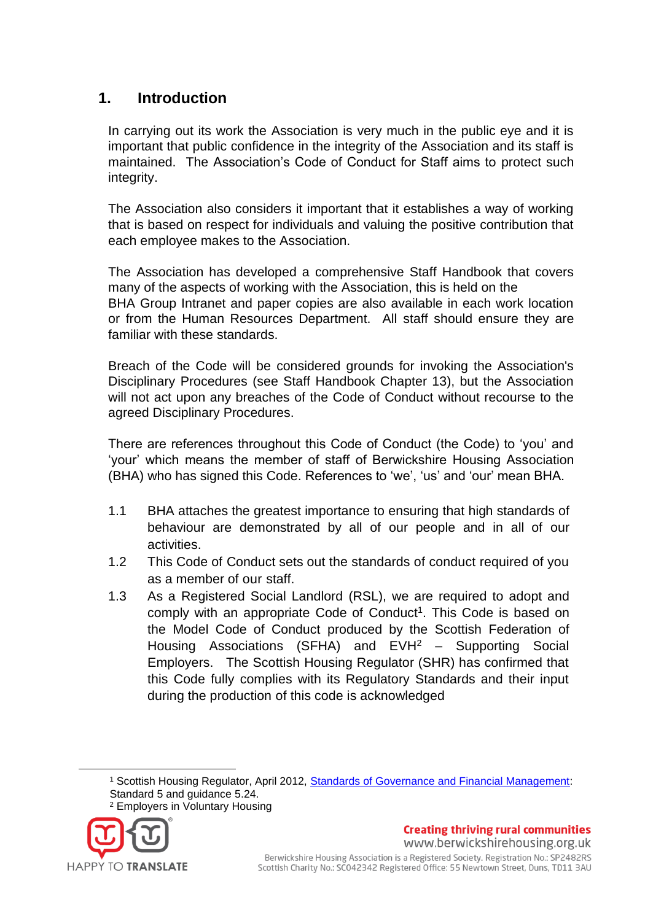## <span id="page-2-0"></span>**1. Introduction**

In carrying out its work the Association is very much in the public eye and it is important that public confidence in the integrity of the Association and its staff is maintained. The Association's Code of Conduct for Staff aims to protect such integrity.

The Association also considers it important that it establishes a way of working that is based on respect for individuals and valuing the positive contribution that each employee makes to the Association.

The Association has developed a comprehensive Staff Handbook that covers many of the aspects of working with the Association, this is held on the BHA Group Intranet and paper copies are also available in each work location or from the Human Resources Department. All staff should ensure they are familiar with these standards.

Breach of the Code will be considered grounds for invoking the Association's Disciplinary Procedures (see Staff Handbook Chapter 13), but the Association will not act upon any breaches of the Code of Conduct without recourse to the agreed Disciplinary Procedures.

There are references throughout this Code of Conduct (the Code) to 'you' and 'your' which means the member of staff of Berwickshire Housing Association (BHA) who has signed this Code. References to 'we', 'us' and 'our' mean BHA.

- 1.1 BHA attaches the greatest importance to ensuring that high standards of behaviour are demonstrated by all of our people and in all of our activities.
- 1.2 This Code of Conduct sets out the standards of conduct required of you as a member of our staff.
- 1.3 As a Registered Social Landlord (RSL), we are required to adopt and comply with an appropriate Code of Conduct<sup>1</sup>. This Code is based on the Model Code of Conduct produced by the Scottish Federation of Housing Associations (SFHA) and EVH<sup>2</sup> - Supporting Social Employers. The Scottish Housing Regulator (SHR) has confirmed that this Code fully complies with its Regulatory Standards and their input during the production of this code is acknowledged

<sup>1</sup> Scottish Housing Regulator, April 2012, [Standards of Governance and Financial Management:](http://www.scottishhousingregulator.gov.uk/sites/default/files/publications/Our%20Regulatory%20Framework.pdf) Standard 5 and guidance 5.24. <sup>2</sup> Employers in Voluntary Housing



**Creating thriving rural communities** www.berwickshirehousing.org.uk Berwickshire Housing Association is a Registered Society. Registration No.: SP2482RS

Scottish Charity No.: SC042342 Registered Office: 55 Newtown Street, Duns, TD11 3AU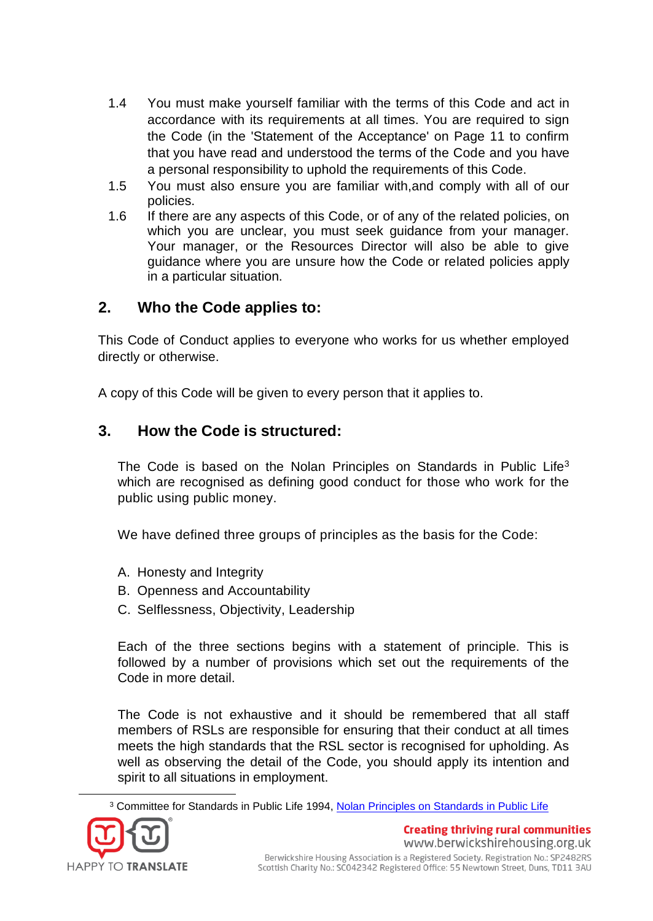- 1.4 You must make yourself familiar with the terms of this Code and act in accordance with its requirements at all times. You are required to sign the Code (in the 'Statement of the Acceptance' on Page 11 to confirm that you have read and understood the terms of the Code and you have a personal responsibility to uphold the requirements of this Code.
- 1.5 You must also ensure you are familiar with,and comply with all of our policies.
- 1.6 If there are any aspects of this Code, or of any of the related policies, on which you are unclear, you must seek guidance from your manager. Your manager, or the Resources Director will also be able to give guidance where you are unsure how the Code or related policies apply in a particular situation.

## <span id="page-3-0"></span>**2. Who the Code applies to:**

This Code of Conduct applies to everyone who works for us whether employed directly or otherwise.

A copy of this Code will be given to every person that it applies to.

## <span id="page-3-1"></span>**3. How the Code is structured:**

The Code is based on the Nolan Principles on Standards in Public Life<sup>3</sup> which are recognised as defining good conduct for those who work for the public using public money.

We have defined three groups of principles as the basis for the Code:

- A. Honesty and Integrity
- B. Openness and Accountability
- C. Selflessness, Objectivity, Leadership

Each of the three sections begins with a statement of principle. This is followed by a number of provisions which set out the requirements of the Code in more detail.

The Code is not exhaustive and it should be remembered that all staff members of RSLs are responsible for ensuring that their conduct at all times meets the high standards that the RSL sector is recognised for upholding. As well as observing the detail of the Code, you should apply its intention and spirit to all situations in employment.

<sup>3</sup> Committee for Standards in Public Life 1994, [Nolan Principles on Standards in Public Life](http://www2.le.ac.uk/offices/finance/staff/regulations/appendices/appendix-a-the-seven-principles-of-public-life-from-the-report-of-the-committee-for-standards-in-public-life-the-nolan-report)

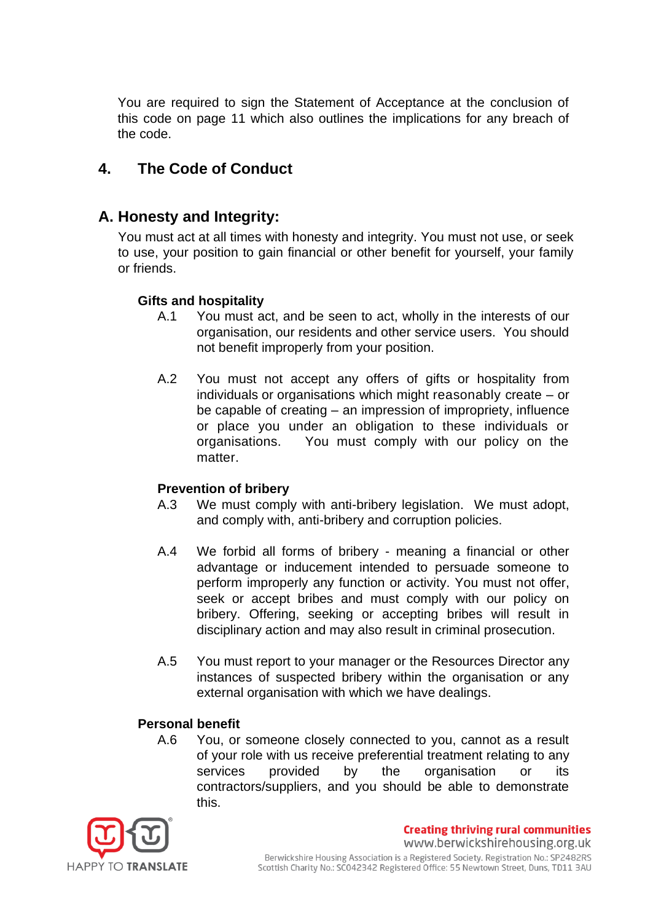You are required to sign the Statement of Acceptance at the conclusion of this code on page 11 which also outlines the implications for any breach of the code.

## <span id="page-4-0"></span>**4. The Code of Conduct**

## <span id="page-4-1"></span>**A. Honesty and Integrity:**

You must act at all times with honesty and integrity. You must not use, or seek to use, your position to gain financial or other benefit for yourself, your family or friends.

#### **Gifts and hospitality**

- A.1 You must act, and be seen to act, wholly in the interests of our organisation, our residents and other service users. You should not benefit improperly from your position.
- A.2 You must not accept any offers of gifts or hospitality from individuals or organisations which might reasonably create – or be capable of creating – an impression of impropriety, influence or place you under an obligation to these individuals or organisations. You must comply with our policy on the matter.

#### **Prevention of bribery**

- A.3 We must comply with anti-bribery legislation. We must adopt, and comply with, anti-bribery and corruption policies.
- A.4 We forbid all forms of bribery meaning a financial or other advantage or inducement intended to persuade someone to perform improperly any function or activity. You must not offer, seek or accept bribes and must comply with our policy on bribery. Offering, seeking or accepting bribes will result in disciplinary action and may also result in criminal prosecution.
- A.5 You must report to your manager or the Resources Director any instances of suspected bribery within the organisation or any external organisation with which we have dealings.

#### **Personal benefit**

A.6 You, or someone closely connected to you, cannot as a result of your role with us receive preferential treatment relating to any services provided by the organisation or its contractors/suppliers, and you should be able to demonstrate this.

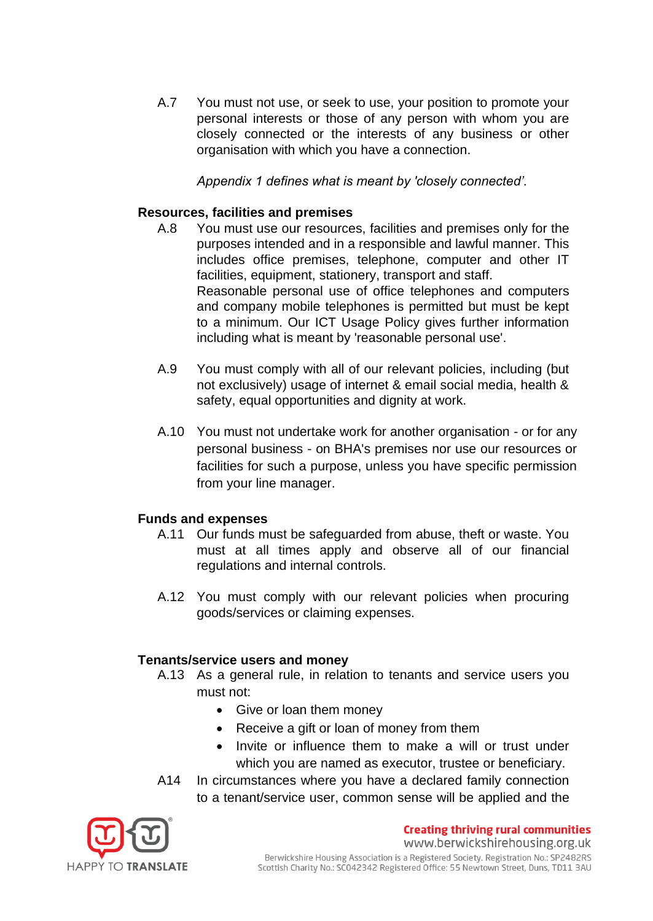A.7 You must not use, or seek to use, your position to promote your personal interests or those of any person with whom you are closely connected or the interests of any business or other organisation with which you have a connection.

*Appendix 1 defines what is meant by 'closely connected'.* 

#### **Resources, facilities and premises**

- A.8 You must use our resources, facilities and premises only for the purposes intended and in a responsible and lawful manner. This includes office premises, telephone, computer and other IT facilities, equipment, stationery, transport and staff. Reasonable personal use of office telephones and computers and company mobile telephones is permitted but must be kept to a minimum. Our ICT Usage Policy gives further information including what is meant by 'reasonable personal use'.
- A.9 You must comply with all of our relevant policies, including (but not exclusively) usage of internet & email social media, health & safety, equal opportunities and dignity at work.
- A.10 You must not undertake work for another organisation or for any personal business - on BHA's premises nor use our resources or facilities for such a purpose, unless you have specific permission from your line manager.

#### **Funds and expenses**

- A.11 Our funds must be safeguarded from abuse, theft or waste. You must at all times apply and observe all of our financial regulations and internal controls.
- A.12 You must comply with our relevant policies when procuring goods/services or claiming expenses.

#### **Tenants/service users and money**

- A.13 As a general rule, in relation to tenants and service users you must not:
	- Give or loan them money
	- Receive a gift or loan of money from them
	- Invite or influence them to make a will or trust under which you are named as executor, trustee or beneficiary.
- A14 In circumstances where you have a declared family connection to a tenant/service user, common sense will be applied and the

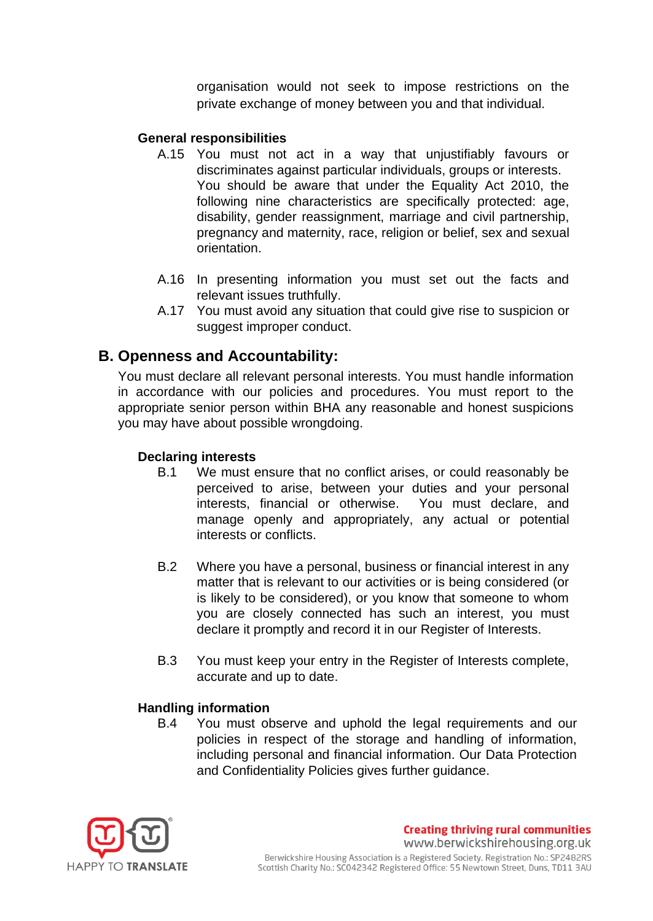organisation would not seek to impose restrictions on the private exchange of money between you and that individual.

#### **General responsibilities**

- A.15 You must not act in a way that unjustifiably favours or discriminates against particular individuals, groups or interests. You should be aware that under the Equality Act 2010, the following nine characteristics are specifically protected: age, disability, gender reassignment, marriage and civil partnership, pregnancy and maternity, race, religion or belief, sex and sexual orientation.
- A.16 In presenting information you must set out the facts and relevant issues truthfully.
- A.17 You must avoid any situation that could give rise to suspicion or suggest improper conduct.

## <span id="page-6-0"></span>**B. Openness and Accountability:**

You must declare all relevant personal interests. You must handle information in accordance with our policies and procedures. You must report to the appropriate senior person within BHA any reasonable and honest suspicions you may have about possible wrongdoing.

#### **Declaring interests**

- B.1 We must ensure that no conflict arises, or could reasonably be perceived to arise, between your duties and your personal interests, financial or otherwise. You must declare, and manage openly and appropriately, any actual or potential interests or conflicts.
- B.2 Where you have a personal, business or financial interest in any matter that is relevant to our activities or is being considered (or is likely to be considered), or you know that someone to whom you are closely connected has such an interest, you must declare it promptly and record it in our Register of Interests.
- B.3 You must keep your entry in the Register of Interests complete, accurate and up to date.

#### **Handling information**

B.4 You must observe and uphold the legal requirements and our policies in respect of the storage and handling of information, including personal and financial information. Our Data Protection and Confidentiality Policies gives further guidance.



**Creating thriving rural communities** www.berwickshirehousing.org.uk Berwickshire Housing Association is a Registered Society. Registration No.: SP2482RS Scottish Charity No.: SCO42342 Registered Office: 55 Newtown Street, Duns, TD11 3AU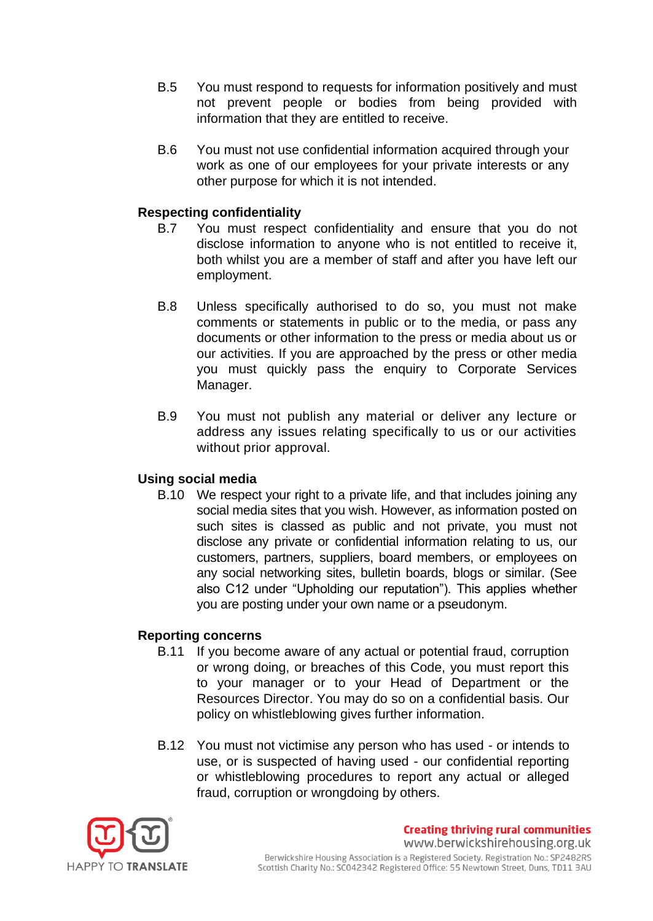- B.5 You must respond to requests for information positively and must not prevent people or bodies from being provided with information that they are entitled to receive.
- B.6 You must not use confidential information acquired through your work as one of our employees for your private interests or any other purpose for which it is not intended.

#### **Respecting confidentiality**

- B.7 You must respect confidentiality and ensure that you do not disclose information to anyone who is not entitled to receive it, both whilst you are a member of staff and after you have left our employment.
- B.8 Unless specifically authorised to do so, you must not make comments or statements in public or to the media, or pass any documents or other information to the press or media about us or our activities. If you are approached by the press or other media you must quickly pass the enquiry to Corporate Services Manager.
- B.9 You must not publish any material or deliver any lecture or address any issues relating specifically to us or our activities without prior approval.

#### **Using social media**

B.10 We respect your right to a private life, and that includes joining any social media sites that you wish. However, as information posted on such sites is classed as public and not private, you must not disclose any private or confidential information relating to us, our customers, partners, suppliers, board members, or employees on any social networking sites, bulletin boards, blogs or similar. (See also C12 under "Upholding our reputation"). This applies whether you are posting under your own name or a pseudonym.

#### **Reporting concerns**

- B.11 If you become aware of any actual or potential fraud, corruption or wrong doing, or breaches of this Code, you must report this to your manager or to your Head of Department or the Resources Director. You may do so on a confidential basis. Our policy on whistleblowing gives further information.
- B.12 You must not victimise any person who has used or intends to use, or is suspected of having used - our confidential reporting or whistleblowing procedures to report any actual or alleged fraud, corruption or wrongdoing by others.



**Creating thriving rural communities** www.berwickshirehousing.org.uk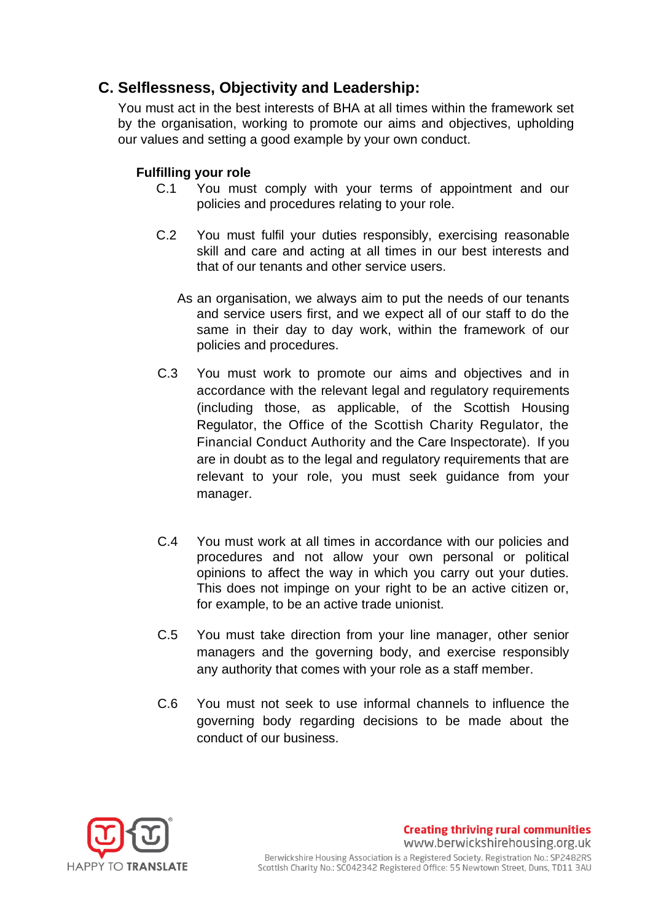## <span id="page-8-0"></span>**C. Selflessness, Objectivity and Leadership:**

You must act in the best interests of BHA at all times within the framework set by the organisation, working to promote our aims and objectives, upholding our values and setting a good example by your own conduct.

### **Fulfilling your role**

- C.1 You must comply with your terms of appointment and our policies and procedures relating to your role.
- C.2 You must fulfil your duties responsibly, exercising reasonable skill and care and acting at all times in our best interests and that of our tenants and other service users.
	- As an organisation, we always aim to put the needs of our tenants and service users first, and we expect all of our staff to do the same in their day to day work, within the framework of our policies and procedures.
- C.3 You must work to promote our aims and objectives and in accordance with the relevant legal and regulatory requirements (including those, as applicable, of the Scottish Housing Regulator, the Office of the Scottish Charity Regulator, the Financial Conduct Authority and the Care Inspectorate). If you are in doubt as to the legal and regulatory requirements that are relevant to your role, you must seek guidance from your manager.
- C.4 You must work at all times in accordance with our policies and procedures and not allow your own personal or political opinions to affect the way in which you carry out your duties. This does not impinge on your right to be an active citizen or, for example, to be an active trade unionist.
- C.5 You must take direction from your line manager, other senior managers and the governing body, and exercise responsibly any authority that comes with your role as a staff member.
- C.6 You must not seek to use informal channels to influence the governing body regarding decisions to be made about the conduct of our business.



**Creating thriving rural communities** www.berwickshirehousing.org.uk Berwickshire Housing Association is a Registered Society. Registration No.: SP2482RS Scottish Charity No.: SC042342 Registered Office: 55 Newtown Street, Duns, TD11 3AU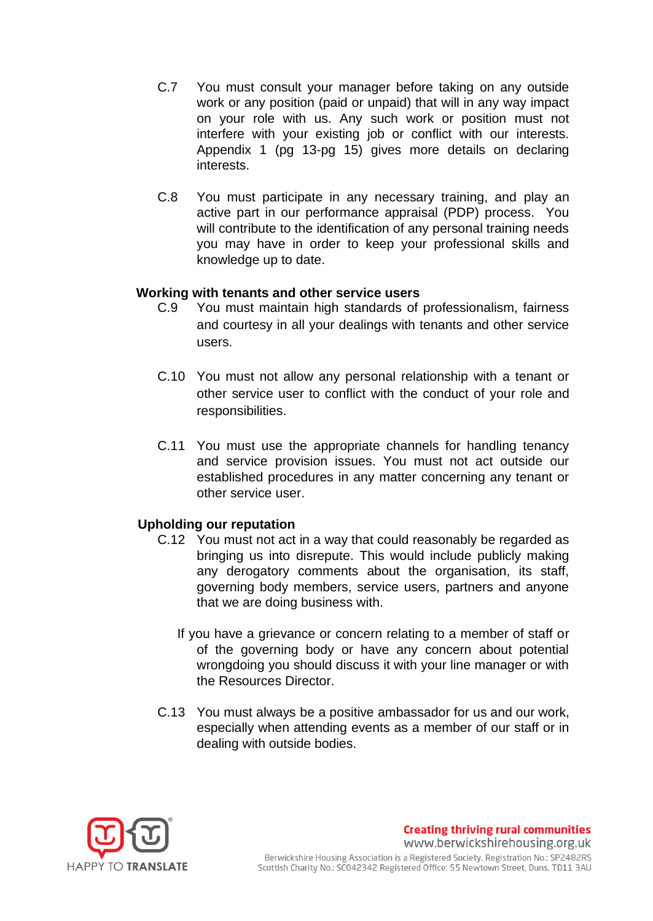- C.7 You must consult your manager before taking on any outside work or any position (paid or unpaid) that will in any way impact on your role with us. Any such work or position must not interfere with your existing job or conflict with our interests. Appendix 1 (pg 13-pg 15) gives more details on declaring interests.
- C.8 You must participate in any necessary training, and play an active part in our performance appraisal (PDP) process. You will contribute to the identification of any personal training needs you may have in order to keep your professional skills and knowledge up to date.

#### **Working with tenants and other service users**

- C.9 You must maintain high standards of professionalism, fairness and courtesy in all your dealings with tenants and other service users.
- C.10 You must not allow any personal relationship with a tenant or other service user to conflict with the conduct of your role and responsibilities.
- C.11 You must use the appropriate channels for handling tenancy and service provision issues. You must not act outside our established procedures in any matter concerning any tenant or other service user.

#### **Upholding our reputation**

- C.12 You must not act in a way that could reasonably be regarded as bringing us into disrepute. This would include publicly making any derogatory comments about the organisation, its staff, governing body members, service users, partners and anyone that we are doing business with.
	- If you have a grievance or concern relating to a member of staff or of the governing body or have any concern about potential wrongdoing you should discuss it with your line manager or with the Resources Director.
- C.13 You must always be a positive ambassador for us and our work, especially when attending events as a member of our staff or in dealing with outside bodies.



**Creating thriving rural communities** www.berwickshirehousing.org.uk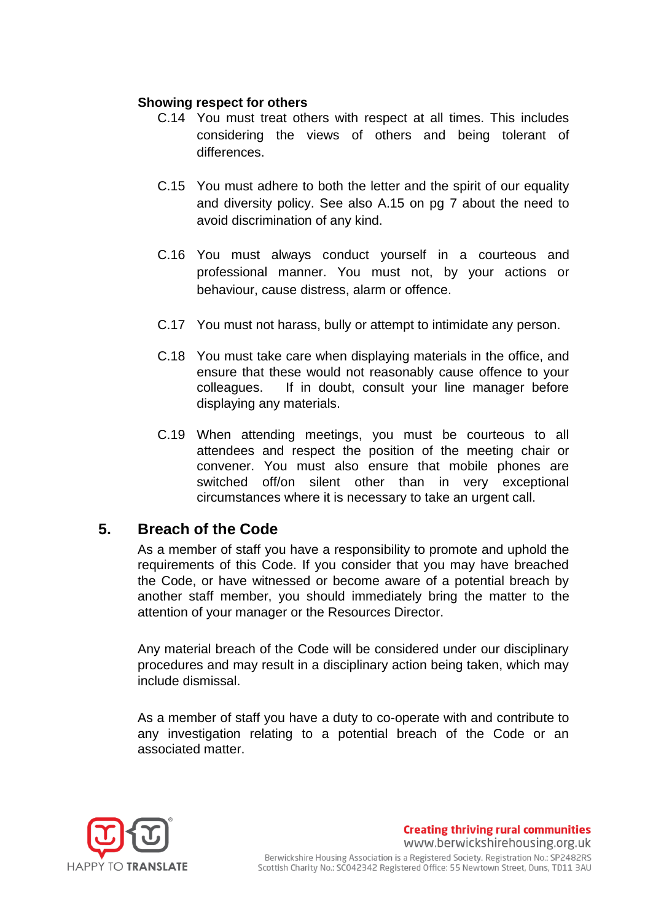#### **Showing respect for others**

- C.14 You must treat others with respect at all times. This includes considering the views of others and being tolerant of differences.
- C.15 You must adhere to both the letter and the spirit of our equality and diversity policy. See also A.15 on pg 7 about the need to avoid discrimination of any kind.
- C.16 You must always conduct yourself in a courteous and professional manner. You must not, by your actions or behaviour, cause distress, alarm or offence.
- C.17 You must not harass, bully or attempt to intimidate any person.
- C.18 You must take care when displaying materials in the office, and ensure that these would not reasonably cause offence to your colleagues. If in doubt, consult your line manager before displaying any materials.
- C.19 When attending meetings, you must be courteous to all attendees and respect the position of the meeting chair or convener. You must also ensure that mobile phones are switched off/on silent other than in very exceptional circumstances where it is necessary to take an urgent call.

## <span id="page-10-0"></span>**5. Breach of the Code**

As a member of staff you have a responsibility to promote and uphold the requirements of this Code. If you consider that you may have breached the Code, or have witnessed or become aware of a potential breach by another staff member, you should immediately bring the matter to the attention of your manager or the Resources Director.

Any material breach of the Code will be considered under our disciplinary procedures and may result in a disciplinary action being taken, which may include dismissal.

As a member of staff you have a duty to co-operate with and contribute to any investigation relating to a potential breach of the Code or an associated matter.



**Creating thriving rural communities** www.berwickshirehousing.org.uk Berwickshire Housing Association is a Registered Society. Registration No.: SP2482RS Scottish Charity No.: SCO42342 Registered Office: 55 Newtown Street, Duns, TD11 3AU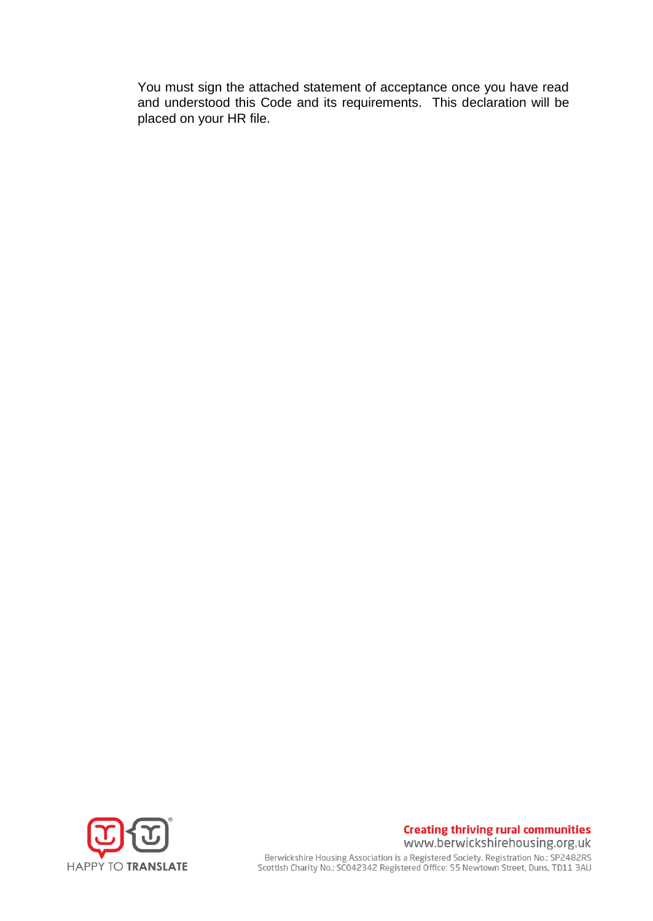You must sign the attached statement of acceptance once you have read and understood this Code and its requirements. This declaration will be placed on your HR file.



#### **Creating thriving rural communities** www.berwickshirehousing.org.uk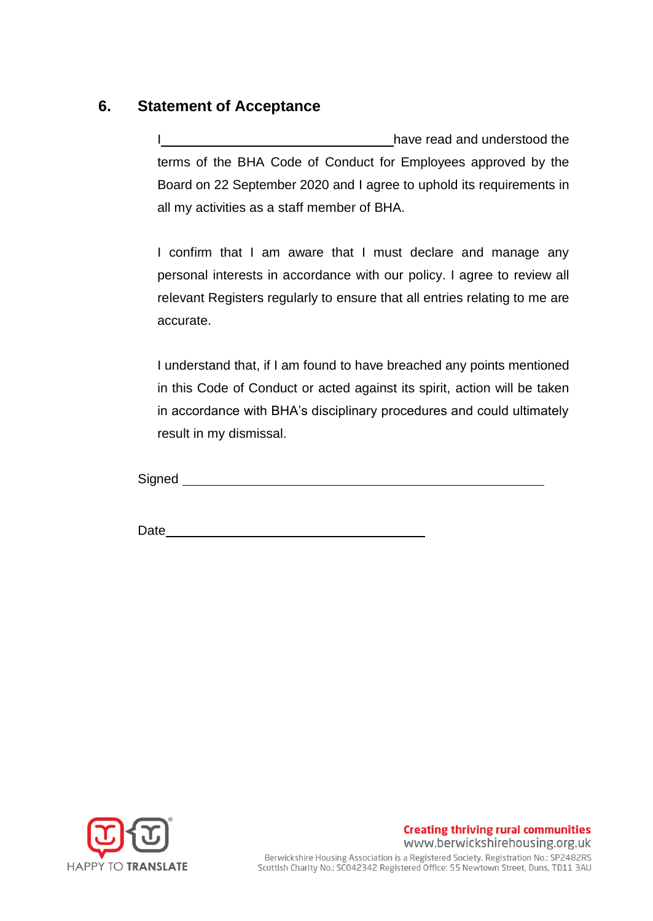## <span id="page-12-0"></span>**6. Statement of Acceptance**

have read and understood the terms of the BHA Code of Conduct for Employees approved by the Board on 22 September 2020 and I agree to uphold its requirements in all my activities as a staff member of BHA.

I confirm that I am aware that I must declare and manage any personal interests in accordance with our policy. I agree to review all relevant Registers regularly to ensure that all entries relating to me are accurate.

I understand that, if I am found to have breached any points mentioned in this Code of Conduct or acted against its spirit, action will be taken in accordance with BHA's disciplinary procedures and could ultimately result in my dismissal.

Signed <u>sales and the set of the set of the set of the set of the set of the set of the set of the set of the set of the set of the set of the set of the set of the set of the set of the set of the set of the set of the se</u>

Date and the contract of the contract of the contract of the contract of the contract of the contract of the contract of the contract of the contract of the contract of the contract of the contract of the contract of the c



**Creating thriving rural communities** www.berwickshirehousing.org.uk Berwickshire Housing Association is a Registered Society. Registration No.: SP2482RS<br>Scottish Charity No.: SC042342 Registered Office: 55 Newtown Street, Duns, TD11 3AU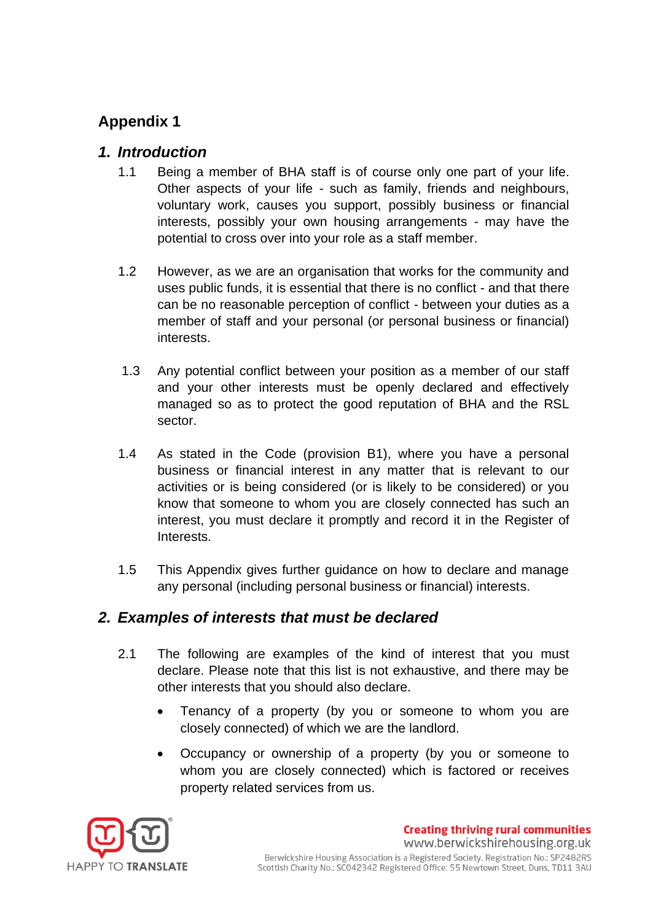# <span id="page-13-0"></span>**Appendix 1**

## <span id="page-13-1"></span>*1. Introduction*

- 1.1 Being a member of BHA staff is of course only one part of your life. Other aspects of your life - such as family, friends and neighbours, voluntary work, causes you support, possibly business or financial interests, possibly your own housing arrangements - may have the potential to cross over into your role as a staff member.
- 1.2 However, as we are an organisation that works for the community and uses public funds, it is essential that there is no conflict - and that there can be no reasonable perception of conflict - between your duties as a member of staff and your personal (or personal business or financial) interests.
- 1.3 Any potential conflict between your position as a member of our staff and your other interests must be openly declared and effectively managed so as to protect the good reputation of BHA and the RSL sector.
- 1.4 As stated in the Code (provision B1), where you have a personal business or financial interest in any matter that is relevant to our activities or is being considered (or is likely to be considered) or you know that someone to whom you are closely connected has such an interest, you must declare it promptly and record it in the Register of Interests.
- 1.5 This Appendix gives further guidance on how to declare and manage any personal (including personal business or financial) interests.

## <span id="page-13-2"></span>*2. Examples of interests that must be declared*

- 2.1 The following are examples of the kind of interest that you must declare. Please note that this list is not exhaustive, and there may be other interests that you should also declare.
	- Tenancy of a property (by you or someone to whom you are closely connected) of which we are the landlord.
	- Occupancy or ownership of a property (by you or someone to whom you are closely connected) which is factored or receives property related services from us.

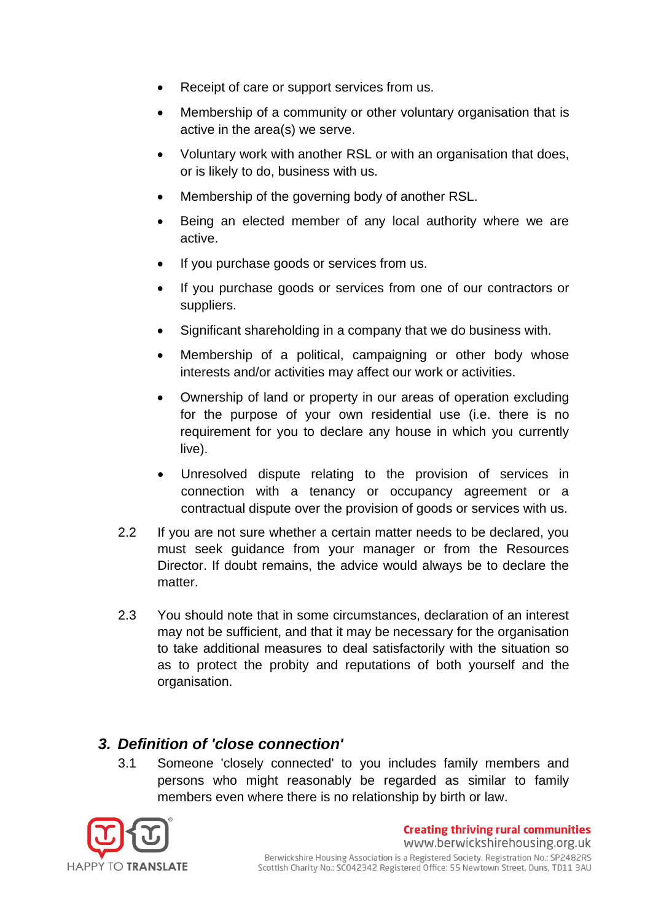- Receipt of care or support services from us.
- Membership of a community or other voluntary organisation that is active in the area(s) we serve.
- Voluntary work with another RSL or with an organisation that does, or is likely to do, business with us.
- Membership of the governing body of another RSL.
- Being an elected member of any local authority where we are active.
- If you purchase goods or services from us.
- If you purchase goods or services from one of our contractors or suppliers.
- Significant shareholding in a company that we do business with.
- Membership of a political, campaigning or other body whose interests and/or activities may affect our work or activities.
- Ownership of land or property in our areas of operation excluding for the purpose of your own residential use (i.e. there is no requirement for you to declare any house in which you currently live).
- Unresolved dispute relating to the provision of services in connection with a tenancy or occupancy agreement or a contractual dispute over the provision of goods or services with us.
- 2.2 If you are not sure whether a certain matter needs to be declared, you must seek guidance from your manager or from the Resources Director. If doubt remains, the advice would always be to declare the matter.
- 2.3 You should note that in some circumstances, declaration of an interest may not be sufficient, and that it may be necessary for the organisation to take additional measures to deal satisfactorily with the situation so as to protect the probity and reputations of both yourself and the organisation.

## <span id="page-14-0"></span>*3. Definition of 'close connection'*

3.1 Someone 'closely connected' to you includes family members and persons who might reasonably be regarded as similar to family members even where there is no relationship by birth or law.

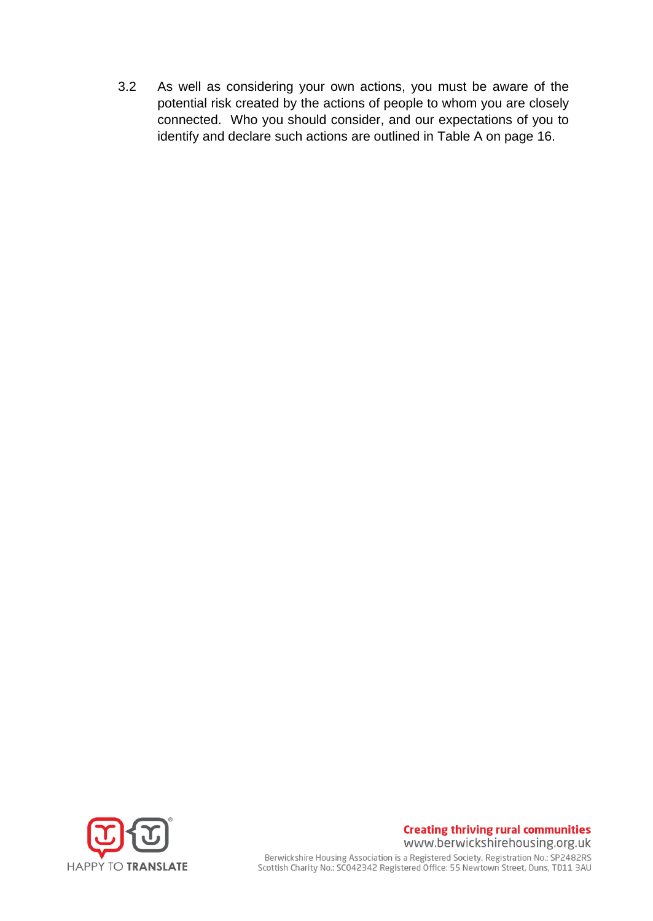3.2 As well as considering your own actions, you must be aware of the potential risk created by the actions of people to whom you are closely connected. Who you should consider, and our expectations of you to identify and declare such actions are outlined in Table A on page 16.



#### **Creating thriving rural communities** www.berwickshirehousing.org.uk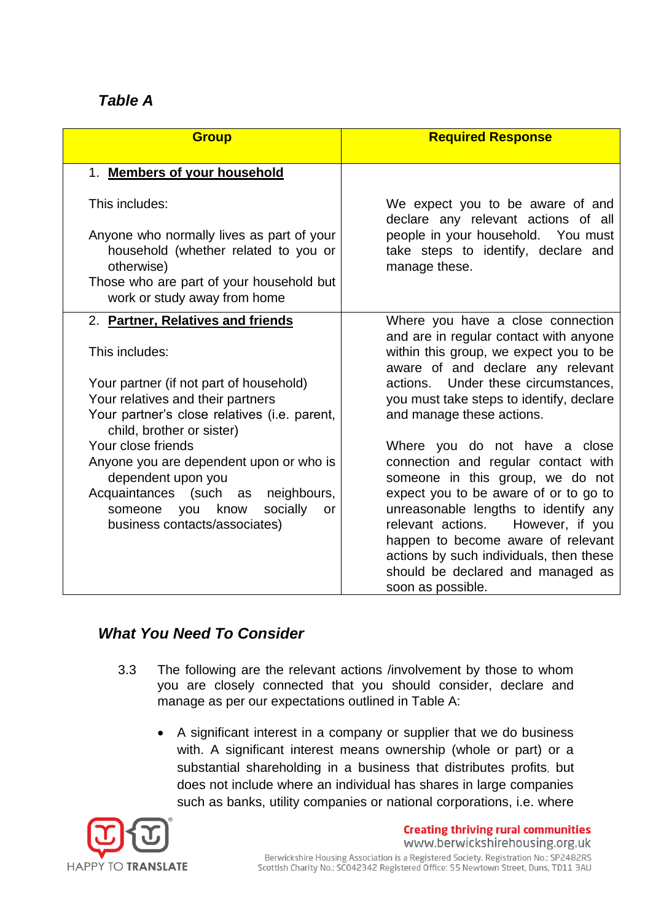## <span id="page-16-0"></span>*Table A*

| <b>Group</b>                                                                                    | <b>Required Response</b>                                                                   |
|-------------------------------------------------------------------------------------------------|--------------------------------------------------------------------------------------------|
| 1. Members of your household                                                                    |                                                                                            |
| This includes:                                                                                  | We expect you to be aware of and<br>declare any relevant actions of all                    |
| Anyone who normally lives as part of your<br>household (whether related to you or<br>otherwise) | people in your household. You must<br>take steps to identify, declare and<br>manage these. |
| Those who are part of your household but<br>work or study away from home                        |                                                                                            |
| 2. Partner, Relatives and friends                                                               | Where you have a close connection<br>and are in regular contact with anyone                |
| This includes:                                                                                  | within this group, we expect you to be<br>aware of and declare any relevant                |
| Your partner (if not part of household)                                                         | actions. Under these circumstances,                                                        |
| Your relatives and their partners                                                               | you must take steps to identify, declare                                                   |
| Your partner's close relatives (i.e. parent,<br>child, brother or sister)                       | and manage these actions.                                                                  |
| Your close friends                                                                              | Where you do not have a close                                                              |
| Anyone you are dependent upon or who is<br>dependent upon you                                   | connection and regular contact with<br>someone in this group, we do not                    |
| Acquaintances (such as neighbours,                                                              | expect you to be aware of or to go to                                                      |
| socially<br>someone you know<br>or                                                              | unreasonable lengths to identify any                                                       |
| business contacts/associates)                                                                   | However, if you<br>relevant actions.                                                       |
|                                                                                                 | happen to become aware of relevant<br>actions by such individuals, then these              |
|                                                                                                 | should be declared and managed as                                                          |
|                                                                                                 | soon as possible.                                                                          |

## <span id="page-16-1"></span>*What You Need To Consider*

- 3.3 The following are the relevant actions /involvement by those to whom you are closely connected that you should consider, declare and manage as per our expectations outlined in Table A:
	- A significant interest in a company or supplier that we do business with. A significant interest means ownership (whole or part) or a substantial shareholding in a business that distributes profits, but does not include where an individual has shares in large companies such as banks, utility companies or national corporations, i.e. where



**Creating thriving rural communities** www.berwickshirehousing.org.uk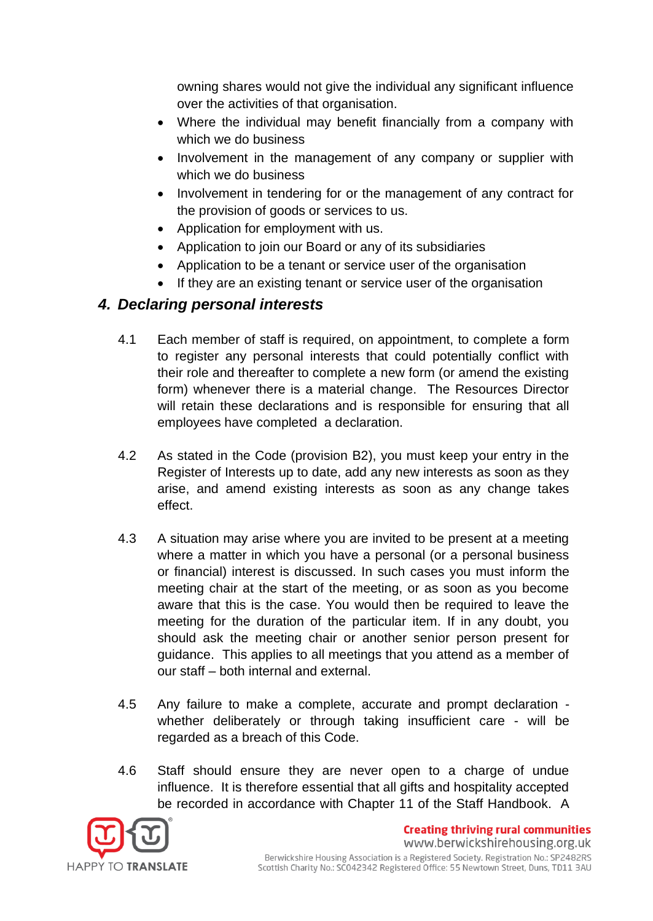owning shares would not give the individual any significant influence over the activities of that organisation.

- Where the individual may benefit financially from a company with which we do business
- Involvement in the management of any company or supplier with which we do business
- Involvement in tendering for or the management of any contract for the provision of goods or services to us.
- Application for employment with us.
- Application to join our Board or any of its subsidiaries
- Application to be a tenant or service user of the organisation
- If they are an existing tenant or service user of the organisation

## <span id="page-17-0"></span>*4. Declaring personal interests*

- 4.1 Each member of staff is required, on appointment, to complete a form to register any personal interests that could potentially conflict with their role and thereafter to complete a new form (or amend the existing form) whenever there is a material change. The Resources Director will retain these declarations and is responsible for ensuring that all employees have completed a declaration.
- 4.2 As stated in the Code (provision B2), you must keep your entry in the Register of Interests up to date, add any new interests as soon as they arise, and amend existing interests as soon as any change takes effect.
- 4.3 A situation may arise where you are invited to be present at a meeting where a matter in which you have a personal (or a personal business or financial) interest is discussed. In such cases you must inform the meeting chair at the start of the meeting, or as soon as you become aware that this is the case. You would then be required to leave the meeting for the duration of the particular item. If in any doubt, you should ask the meeting chair or another senior person present for guidance. This applies to all meetings that you attend as a member of our staff – both internal and external.
- 4.5 Any failure to make a complete, accurate and prompt declaration whether deliberately or through taking insufficient care - will be regarded as a breach of this Code.
- 4.6 Staff should ensure they are never open to a charge of undue influence. It is therefore essential that all gifts and hospitality accepted be recorded in accordance with Chapter 11 of the Staff Handbook. A



**Creating thriving rural communities**